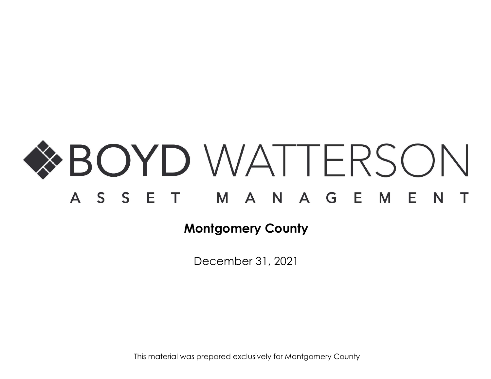

December 31, 2021

This material was prepared exclusively for Montgomery County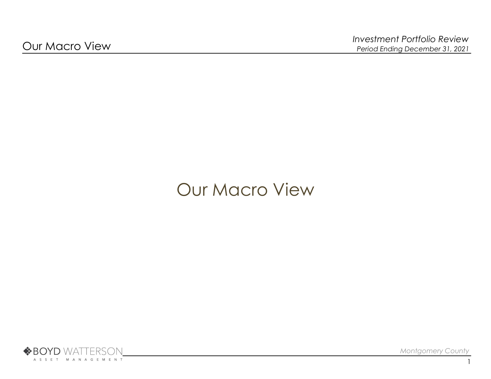# Our Macro View



Montgomery County

1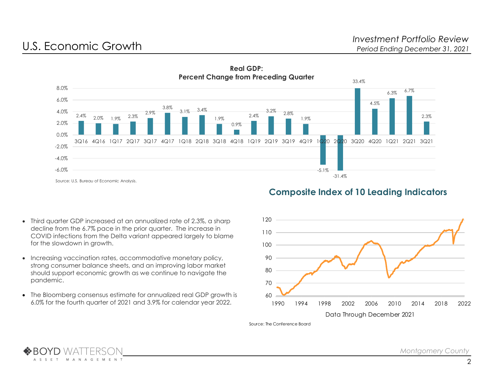



# Composite Index of 10 Leading Indicators

- Third quarter GDP increased at an annualized rate of 2.3%, a sharp decline from the 6.7% pace in the prior quarter. The increase in COVID infections from the Delta variant appeared largely to blame for the slowdown in growth.
- Increasing vaccination rates, accommodative monetary policy, strong consumer balance sheets, and an improving labor market should support economic growth as we continue to navigate the pandemic.
- The Bloomberg consensus estimate for annualized real GDP growth is 6.0% for the fourth quarter of 2021 and 3.9% for calendar year 2022.



Source: The Conference Board

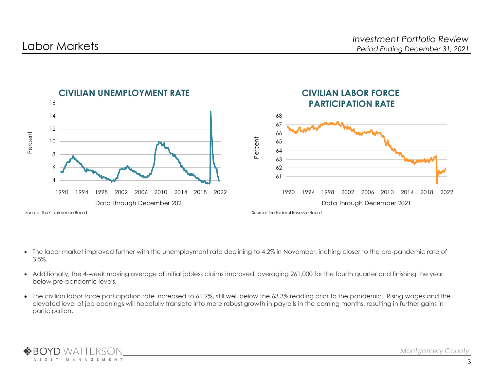

- The labor market improved further with the unemployment rate declining to 4.2% in November, inching closer to the pre-pandemic rate of 3.5%.
- Additionally, the 4-week moving average of initial jobless claims improved, averaging 261,000 for the fourth quarter and finishing the year below pre-pandemic levels.
- The civilian labor force participation rate increased to 61.9%, still well below the 63.3% reading prior to the pandemic. Rising wages and the elevated level of job openings will hopefully translate into more robust growth in payrolls in the coming months, resulting in further gains in participation.

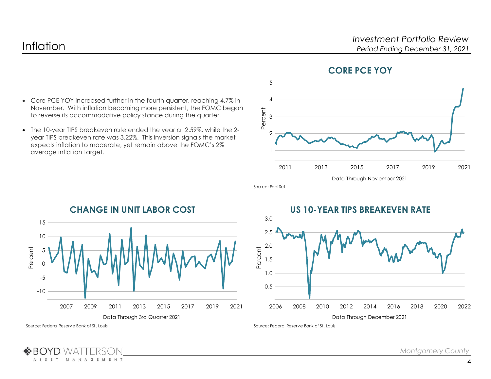Core PCE YOY increased further in the fourth quarter, reaching 4.7% in November. With inflation becoming more persistent, the FOMC began to reverse its accommodative policy stance during the quarter. The 10-year TIPS breakeven rate ended the year at 2.59%, while the 2 year TIPS breakeven rate was 3.22%. This inversion signals the market expects inflation to moderate, yet remain above the FOMC's 2% Investment Portfolio Review<br>
Period Ending December 31, 2021<br>
CORE PCE YOY<br>
2015 2017 2019 2021<br>
Data Through November 2021<br>
R TIPS BREAKEVEN RATE  $\frac{2011}{2011}$   $\frac{2013}{2013}$   $\frac{2015}{2015}$   $\frac{2017}{2017}$   $\frac{2019}{2021}$   $\frac{2021}{2021}$ 5  $4 \overline{\phantom{a}}$  $3 \overline{\phantom{a}}$  $2 \frac{1}{2}$ 1

## CORE PCE YOY

CHANGE IN UNIT LABOR COST Data Through 3rd Quarter 2021  $\frac{2007}{2007}$   $\frac{2007}{2007}$   $\frac{2011}{2013}$   $\frac{2015}{2015}$   $\frac{2017}{2017}$   $\frac{2019}{2019}$   $\frac{2021}{2006}$   $\frac{2008}{2006}$   $\frac{2010}{2010}$   $\frac{2012}{2010}$ 15 ————————————————————  $10$   $\longrightarrow$   $\longrightarrow$   $\longrightarrow$   $\longrightarrow$   $\longrightarrow$   $\longrightarrow$   $\longrightarrow$ 5 <del>\ / | /\ / | | | | | | | | | |</del> 0 -5 -10

## US 10-YEAR TIPS BREAKEVEN RATE



Source: Federal Reserve Bank of St. Louis

M  $\Lambda$ 

N A G E M E N T

A S S E T

average inflation target.

Source: Federal Reserve Bank of St. Louis

Source: FactSet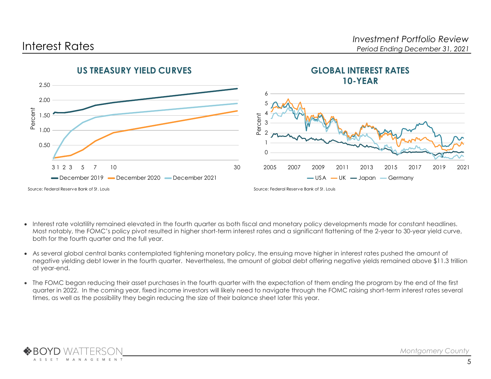

- Interest rate volatility remained elevated in the fourth quarter as both fiscal and monetary policy developments made for constant headlines. Most notably, the FOMC's policy pivot resulted in higher short-term interest rates and a significant flattening of the 2-year to 30-year yield curve, both for the fourth quarter and the full year.
- As several global central banks contemplated tightening monetary policy, the ensuing move higher in interest rates pushed the amount of negative yielding debt lower in the fourth quarter. Nevertheless, the amount of global debt offering negative yields remained above \$11.3 trillion at year-end.
- The FOMC began reducing their asset purchases in the fourth quarter with the expectation of them ending the program by the end of the first quarter in 2022. In the coming year, fixed income investors will likely need to navigate through the FOMC raising short-term interest rates several times, as well as the possibility they begin reducing the size of their balance sheet later this year.

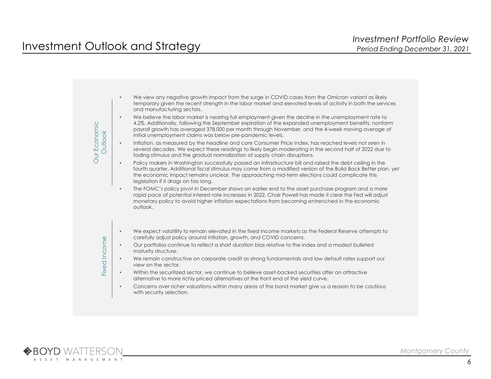|                                | $\bullet$ | We view any negative growth impact from the surge in COVID cases from the Omicron variant as likely<br>temporary given the recent strength in the labor market and elevated levels of activity in both the services<br>and manufacturing sectors.                                                                                                                               |
|--------------------------------|-----------|---------------------------------------------------------------------------------------------------------------------------------------------------------------------------------------------------------------------------------------------------------------------------------------------------------------------------------------------------------------------------------|
| Our Economic<br><b>Dutlook</b> | $\bullet$ | We believe the labor market is nearing full employment given the decline in the unemployment rate to<br>4.2%. Additionally, following the September expiration of the expanded unemployment benefits, nonfarm<br>payroll growth has averaged 378,000 per month through November, and the 4-week moving average of<br>initial unemployment claims was below pre-pandemic levels. |
|                                | $\bullet$ | Inflation, as measured by the headline and core Consumer Price Index, has reached levels not seen in<br>several decades. We expect these readings to likely begin moderating in the second half of 2022 due to<br>fading stimulus and the gradual normalization of supply chain disruptions.                                                                                    |
|                                | $\bullet$ | Policy makers in Washington successfully passed an infrastructure bill and raised the debt ceiling in the<br>fourth quarter. Additional fiscal stimulus may come from a modified version of the Build Back Better plan, yet<br>the economic impact remains unclear. The approaching mid-term elections could complicate this<br>legislation if it drags on too long.            |
|                                | $\bullet$ | The FOMC's policy pivot in December shows an earlier end to the asset purchase program and a more<br>rapid pace of potential interest rate increases in 2022. Chair Powell has made it clear the Fed will adjust<br>monetary policy to avoid higher inflation expectations from becoming entrenched in the economic<br>outlook.                                                 |
|                                | $\bullet$ | We expect volatility to remain elevated in the fixed income markets as the Federal Reserve attempts to                                                                                                                                                                                                                                                                          |
|                                |           | carefully adjust policy around inflation, growth, and COVID concerns.                                                                                                                                                                                                                                                                                                           |
| <b>Fixed Income</b>            | $\bullet$ | Our portfolios continue to reflect a short duration bias relative to the index and a modest bulleted<br>maturity structure.                                                                                                                                                                                                                                                     |
|                                | $\bullet$ | We remain constructive on corporate credit as strong fundamentals and low default rates support our<br>view on the sector.                                                                                                                                                                                                                                                      |
|                                | $\bullet$ | Within the securitized sector, we continue to believe asset-backed securities offer an attractive<br>alternative to more richly priced alternatives at the front end of the yield curve.                                                                                                                                                                                        |
|                                | $\bullet$ | Concerns over richer valuations within many areas of the bond market give us a reason to be cautious<br>with security selection.                                                                                                                                                                                                                                                |

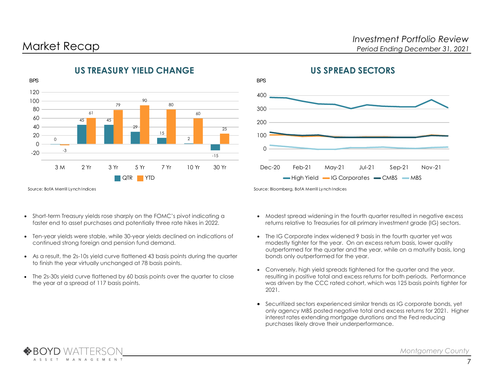

# US TREASURY YIELD CHANGE



Source: BofA Merrill Lynch Indices

- Short-term Treasury yields rose sharply on the FOMC's pivot indicating a faster end to asset purchases and potentially three rate hikes in 2022.
- Ten-year yields were stable, while 30-year yields declined on indications of continued strong foreign and pension fund demand.
- As a result, the 2s-10s yield curve flattened 43 basis points during the quarter to finish the year virtually unchanged at 78 basis points.
- The 2s-30s yield curve flattened by 60 basis points over the quarter to close the year at a spread of 117 basis points.

- Modest spread widening in the fourth quarter resulted in negative excess returns relative to Treasuries for all primary investment grade (IG) sectors.
- The IG Corporate index widened 9 basis in the fourth quarter yet was modestly tighter for the year. On an excess return basis, lower quality outperformed for the quarter and the year, while on a maturity basis, long bonds only outperformed for the year.
- Conversely, high yield spreads tightened for the quarter and the year, resulting in positive total and excess returns for both periods. Performance was driven by the CCC rated cohort, which was 125 basis points tighter for 2021.
- Securitized sectors experienced similar trends as IG corporate bonds, yet only agency MBS posted negative total and excess returns for 2021. Higher interest rates extending mortgage durations and the Fed reducing purchases likely drove their underperformance.

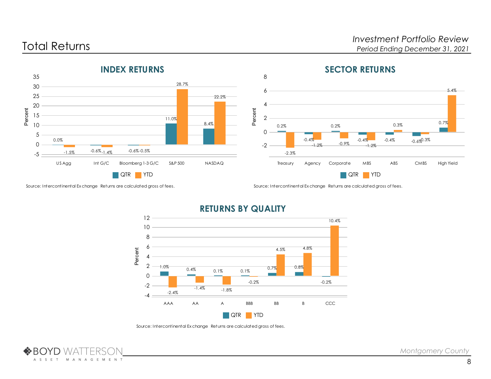

# SECTOR RETURNS





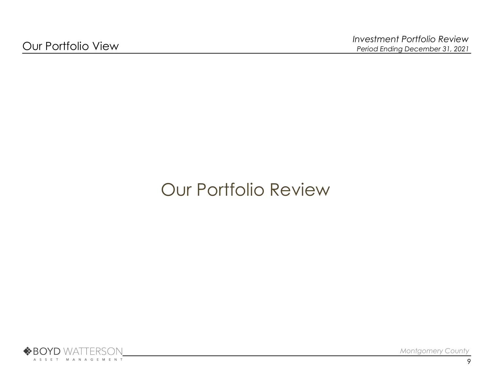# Our Portfolio Review

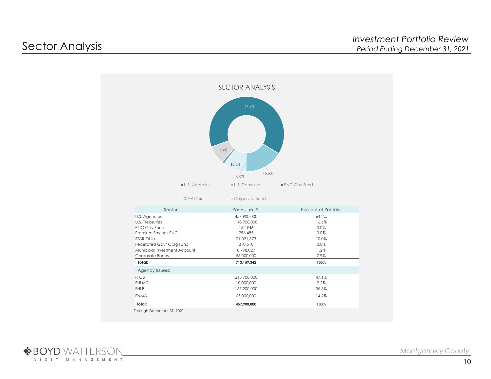

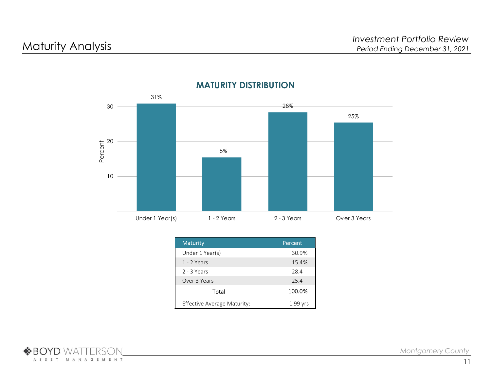

# MATURITY DISTRIBUTION

| <b>Maturity</b>             | Percent    |
|-----------------------------|------------|
| Under 1 Year(s)             | 30.9%      |
| $1 - 2$ Years               | 15.4%      |
| $2 - 3$ Years               | 28.4       |
| Over 3 Years                | 25.4       |
| Total                       | 100.0%     |
| Effective Average Maturity: | $1.99$ yrs |

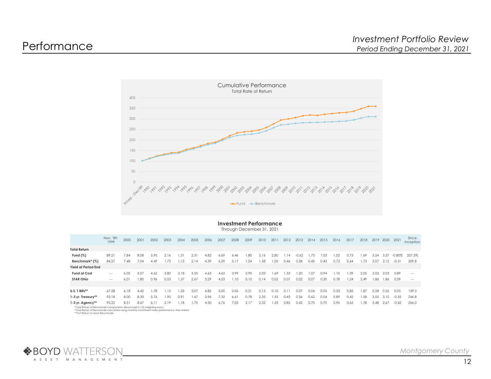

## Investment Performance

Through December 31, 2021

|                                                                        | Nov. '89-<br>1999    | 2000 | 2001 | 2002 | 2003 | 2004 | 2005 | 2006 2007 |      | 2008 | 2009 | 2010 2011 |      |      | 2012 2013 2014 2015 |      |      | 2016 | 2017 | 2018 2019 2020 2021 |           |      |                 | Since<br>Inception   |
|------------------------------------------------------------------------|----------------------|------|------|------|------|------|------|-----------|------|------|------|-----------|------|------|---------------------|------|------|------|------|---------------------|-----------|------|-----------------|----------------------|
| <b>Total Return</b>                                                    |                      |      |      |      |      |      |      |           |      |      |      |           |      |      |                     |      |      |      |      |                     |           |      |                 |                      |
| Fund $(\%)$                                                            | 89.21                | 7.84 | 8.08 | 5.95 | 2.16 | 1.31 | 2.31 | 4.82      | 6.69 | 6.46 | 1.80 | 2.16      | 2.80 | 1.14 | $-0.62$             | 1.75 | .03  | 1.02 | 0.73 | 1.69                | 3.54      | 3.37 |                 | $-0.80\%$ 257.5%     |
| Benchmark* (%)                                                         | 84.27                | 7.48 | 7.04 | 4.49 | 1.73 | 1.13 | 2.14 | 4.39      | 6.29 | 5.17 | 1.04 | 1.58      | 1.05 | 0.46 | 0.28                | 0.45 | 0.43 | 0.72 | 0.64 | 1.73                |           |      | 3.07 2.12 -0.31 | 209.8                |
| Yield at Period End                                                    |                      |      |      |      |      |      |      |           |      |      |      |           |      |      |                     |      |      |      |      |                     |           |      |                 |                      |
| <b>Fund at Cost</b>                                                    | $\sim$ $\sim$ $\sim$ | 6.05 | 5.07 | 4.62 | 3.80 | 3.18 | 3.55 | 4.62      | 4.62 | 3.99 | 2.95 | 2.03      | .69  | 1.33 | 1.20                | 1.07 | D.94 | 1.10 | 1.39 | 2.05                | 2.03      | 2.03 | 0.89            | $\sim$ $\sim$ $\sim$ |
| <b>STAR Ohio</b>                                                       | $  -$                | 6.01 | 1.80 | 0.96 | 0.53 | 1.57 | 2.67 | 5.29      | 4.53 | .10  | 0.10 | 0.14      | 0.02 | 0.07 | 0.02                | 0.07 | 0.30 | 0.78 | 1.24 | 2.49                | 1.86      |      | 1.86 0.09       | $\cdots$             |
|                                                                        |                      |      |      |      |      |      |      |           |      |      |      |           |      |      |                     |      |      |      |      |                     |           |      |                 |                      |
| U.S. T Bills**                                                         | 67.28                | 6.18 | 4.42 | 1.78 | 1.15 | 1.33 | 3.07 | 4.85      | 5.00 | 2.06 | 0.21 | 0.13      | 0.10 | 0.11 | 0.07                | 0.04 | 0.05 | 0.33 | 0.85 | 1.87                | 2.28      | 0.55 | 0.05            | 139.3                |
| 1-3 yr. Treasury**                                                     | 93.18                | 8.00 | 8.30 | 5.76 | 1.90 | 0.91 | 1.67 | -3.96     | '.32 | 6.61 | 0.78 | 2.35      | .55  | 0.43 | 0.36                | 0.62 | 0.54 | 0.89 | 0.42 | 1.58                | 3.55      | 3.10 | -0.55           | 246.8                |
| 1-3 yr. Agency**                                                       | 95.22                | 8.51 | 8.67 | 6.11 | 2.19 | 1.18 | 1.75 | 4.50      | 6.76 | 7.05 | 2.17 | 2.32      | 1.53 | 0.85 | 0.42                | 0.70 | 0.70 | 0.96 | 0.65 | 1.78                | 3.48 2.67 |      | -0.42           | 266.0                |
| *Total Return of Benchmark Components, Benchmark is 1/3 weighting each |                      |      |      |      |      |      |      |           |      |      |      |           |      |      |                     |      |      |      |      |                     |           |      |                 |                      |

\*Total Return of Benchmark Components. Benchmark is 1/3 weighting each.<br>\*Total Return of Benchmark calculated using monthly constituent index performance, then linked.<br>\*\*YoY Return of each Benchmark

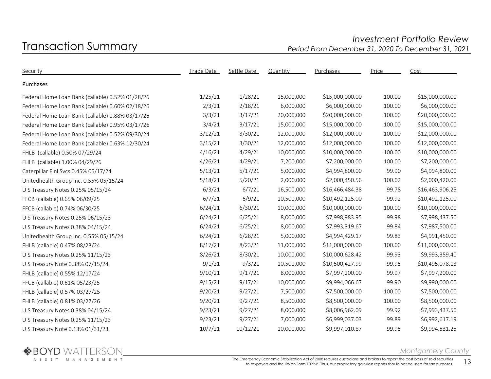# Transaction Summary Investment Portfolio Review Period From December 31, 2020 To December 31, 2021

| Security                                         | Trade Date | Settle Date | Quantity   | Purchases       | Price  | Cost            |  |
|--------------------------------------------------|------------|-------------|------------|-----------------|--------|-----------------|--|
| Purchases                                        |            |             |            |                 |        |                 |  |
| Federal Home Loan Bank (callable) 0.52% 01/28/26 | 1/25/21    | 1/28/21     | 15,000,000 | \$15,000,000.00 | 100.00 | \$15,000,000.00 |  |
| Federal Home Loan Bank (callable) 0.60% 02/18/26 | 2/3/21     | 2/18/21     | 6,000,000  | \$6,000,000.00  | 100.00 | \$6,000,000.00  |  |
| Federal Home Loan Bank (callable) 0.88% 03/17/26 | 3/3/21     | 3/17/21     | 20,000,000 | \$20,000,000.00 | 100.00 | \$20,000,000.00 |  |
| Federal Home Loan Bank (callable) 0.95% 03/17/26 | 3/4/21     | 3/17/21     | 15,000,000 | \$15,000,000.00 | 100.00 | \$15,000,000.00 |  |
| Federal Home Loan Bank (callable) 0.52% 09/30/24 | 3/12/21    | 3/30/21     | 12,000,000 | \$12,000,000.00 | 100.00 | \$12,000,000.00 |  |
| Federal Home Loan Bank (callable) 0.63% 12/30/24 | 3/15/21    | 3/30/21     | 12,000,000 | \$12,000,000.00 | 100.00 | \$12,000,000.00 |  |
| FHLB (callable) 0.50% 07/29/24                   | 4/16/21    | 4/29/21     | 10,000,000 | \$10,000,000.00 | 100.00 | \$10,000,000.00 |  |
| FHLB (callable) 1.00% 04/29/26                   | 4/26/21    | 4/29/21     | 7,200,000  | \$7,200,000.00  | 100.00 | \$7,200,000.00  |  |
| Caterpillar Finl Svcs 0.45% 05/17/24             | 5/13/21    | 5/17/21     | 5,000,000  | \$4,994,800.00  | 99.90  | \$4,994,800.00  |  |
| Unitedhealth Group Inc. 0.55% 05/15/24           | 5/18/21    | 5/20/21     | 2,000,000  | \$2,000,450.56  | 100.02 | \$2,000,420.00  |  |
| U S Treasury Notes 0.25% 05/15/24                | 6/3/21     | 6/7/21      | 16,500,000 | \$16,466,484.38 | 99.78  | \$16,463,906.25 |  |
| FFCB (callable) 0.65% 06/09/25                   | 6/7/21     | 6/9/21      | 10,500,000 | \$10,492,125.00 | 99.92  | \$10,492,125.00 |  |
| FFCB (callable) 0.74% 06/30/25                   | 6/24/21    | 6/30/21     | 10,000,000 | \$10,000,000.00 | 100.00 | \$10,000,000.00 |  |
| U S Treasury Notes 0.25% 06/15/23                | 6/24/21    | 6/25/21     | 8,000,000  | \$7,998,983.95  | 99.98  | \$7,998,437.50  |  |
| U S Treasury Notes 0.38% 04/15/24                | 6/24/21    | 6/25/21     | 8,000,000  | \$7,993,319.67  | 99.84  | \$7,987,500.00  |  |
| Unitedhealth Group Inc. 0.55% 05/15/24           | 6/24/21    | 6/28/21     | 5,000,000  | \$4,994,429.17  | 99.83  | \$4,991,450.00  |  |
| FHLB (callable) 0.47% 08/23/24                   | 8/17/21    | 8/23/21     | 11,000,000 | \$11,000,000.00 | 100.00 | \$11,000,000.00 |  |
| U S Treasury Notes 0.25% 11/15/23                | 8/26/21    | 8/30/21     | 10,000,000 | \$10,000,628.42 | 99.93  | \$9,993,359.40  |  |
| U S Treasury Note 0.38% 07/15/24                 | 9/1/21     | 9/3/21      | 10,500,000 | \$10,500,427.99 | 99.95  | \$10,495,078.13 |  |
| FHLB (callable) 0.55% 12/17/24                   | 9/10/21    | 9/17/21     | 8,000,000  | \$7,997,200.00  | 99.97  | \$7,997,200.00  |  |
| FFCB (callable) 0.61% 05/23/25                   | 9/15/21    | 9/17/21     | 10,000,000 | \$9,994,066.67  | 99.90  | \$9,990,000.00  |  |
| FHLB (callable) 0.57% 03/27/25                   | 9/20/21    | 9/27/21     | 7,500,000  | \$7,500,000.00  | 100.00 | \$7,500,000.00  |  |
| FHLB (callable) 0.81% 03/27/26                   | 9/20/21    | 9/27/21     | 8,500,000  | \$8,500,000.00  | 100.00 | \$8,500,000.00  |  |
| U S Treasury Notes 0.38% 04/15/24                | 9/23/21    | 9/27/21     | 8,000,000  | \$8,006,962.09  | 99.92  | \$7,993,437.50  |  |
| U S Treasury Notes 0.25% 11/15/23                | 9/23/21    | 9/27/21     | 7,000,000  | \$6,999,037.03  | 99.89  | \$6,992,617.19  |  |
| U S Treasury Note 0.13% 01/31/23                 | 10/7/21    | 10/12/21    | 10,000,000 | \$9,997,010.87  | 99.95  | \$9,994,531.25  |  |



Montgomery County

The Emergency Economic Stabilization Act of 2008 requires custodians and brokers to report the cost basis of sold securities ergency Economic Stabilization Act of 2008 requires custodians and brokers to report the cost basis of sold securities  $13$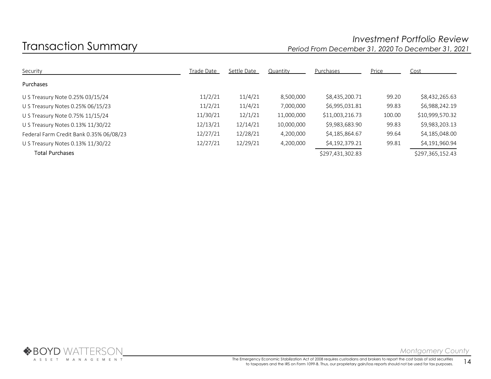# Transaction Summary Investment Portfolio Review Period From December 31, 2020 To December 31, 2021

| Security                                | Trade Date | Settle Date | Quantity   | Purchases        | Price  | Cost             |
|-----------------------------------------|------------|-------------|------------|------------------|--------|------------------|
| Purchases                               |            |             |            |                  |        |                  |
| U S Treasury Note 0.25% 03/15/24        | 11/2/21    | 11/4/21     | 8,500,000  | \$8,435,200.71   | 99.20  | \$8,432,265.63   |
| U S Treasury Notes 0.25% 06/15/23       | 11/2/21    | 11/4/21     | 7,000,000  | \$6,995,031.81   | 99.83  | \$6,988,242.19   |
| U S Treasury Note 0.75% 11/15/24        | 11/30/21   | 12/1/21     | 11,000,000 | \$11,003,216.73  | 100.00 | \$10,999,570.32  |
| U S Treasury Notes 0.13% 11/30/22       | 12/13/21   | 12/14/21    | 10,000,000 | \$9,983,683.90   | 99.83  | \$9,983,203.13   |
| Federal Farm Credit Bank 0.35% 06/08/23 | 12/27/21   | 12/28/21    | 4,200,000  | \$4,185,864.67   | 99.64  | \$4,185,048.00   |
| U S Treasury Notes 0.13% 11/30/22       | 12/27/21   | 12/29/21    | 4,200,000  | \$4,192,379.21   | 99.81  | \$4,191,960.94   |
| <b>Total Purchases</b>                  |            |             |            | \$297,431,302.83 |        | \$297,365,152.43 |

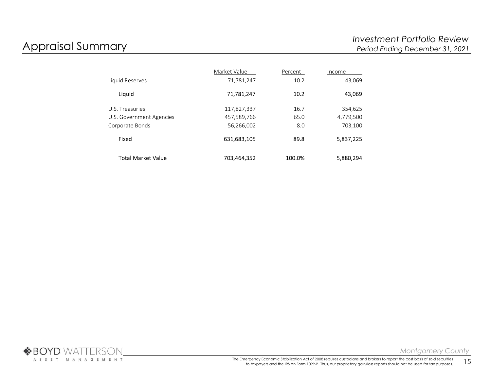|                           | Market Value | Percent | Income    |
|---------------------------|--------------|---------|-----------|
| Liquid Reserves           | 71,781,247   | 10.2    | 43,069    |
| Liquid                    | 71,781,247   | 10.2    | 43,069    |
| U.S. Treasuries           | 117,827,337  | 16.7    | 354,625   |
| U.S. Government Agencies  | 457,589,766  | 65.0    | 4,779,500 |
| Corporate Bonds           | 56,266,002   | 8.0     | 703,100   |
| Fixed                     | 631,683,105  | 89.8    | 5,837,225 |
| <b>Total Market Value</b> | 703,464,352  | 100.0%  | 5,880,294 |

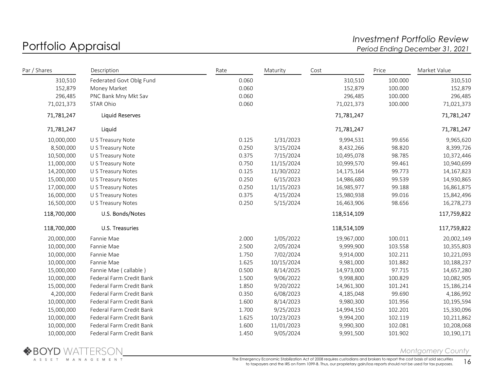# Portfolio Appraisal and the controller of the controller term investment Portfolio Review<br>Period Ending December 31, 2021 Period Ending December 31, 2021

| Par / Shares | Description              | Rate  | Maturity   | Cost        | Price   | Market Value |
|--------------|--------------------------|-------|------------|-------------|---------|--------------|
| 310,510      | Federated Govt Oblg Fund | 0.060 |            | 310,510     | 100.000 | 310,510      |
| 152,879      | Money Market             | 0.060 |            | 152,879     | 100.000 | 152,879      |
| 296,485      | PNC Bank Mny Mkt Sav     | 0.060 |            | 296,485     | 100.000 | 296,485      |
| 71,021,373   | STAR Ohio                | 0.060 |            | 71,021,373  | 100.000 | 71,021,373   |
| 71,781,247   | <b>Liquid Reserves</b>   |       |            | 71,781,247  |         | 71,781,247   |
| 71,781,247   | Liquid                   |       |            | 71,781,247  |         | 71,781,247   |
| 10,000,000   | U S Treasury Note        | 0.125 | 1/31/2023  | 9,994,531   | 99.656  | 9,965,620    |
| 8,500,000    | U S Treasury Note        | 0.250 | 3/15/2024  | 8,432,266   | 98.820  | 8,399,726    |
| 10,500,000   | U S Treasury Note        | 0.375 | 7/15/2024  | 10,495,078  | 98.785  | 10,372,446   |
| 11,000,000   | U S Treasury Note        | 0.750 | 11/15/2024 | 10,999,570  | 99.461  | 10,940,699   |
| 14,200,000   | U S Treasury Notes       | 0.125 | 11/30/2022 | 14,175,164  | 99.773  | 14,167,823   |
| 15,000,000   | U S Treasury Notes       | 0.250 | 6/15/2023  | 14,986,680  | 99.539  | 14,930,865   |
| 17,000,000   | U S Treasury Notes       | 0.250 | 11/15/2023 | 16,985,977  | 99.188  | 16,861,875   |
| 16,000,000   | U S Treasury Notes       | 0.375 | 4/15/2024  | 15,980,938  | 99.016  | 15,842,496   |
| 16,500,000   | U S Treasury Notes       | 0.250 | 5/15/2024  | 16,463,906  | 98.656  | 16,278,273   |
| 118,700,000  | U.S. Bonds/Notes         |       |            | 118,514,109 |         | 117,759,822  |
| 118,700,000  | U.S. Treasuries          |       |            | 118,514,109 |         | 117,759,822  |
| 20,000,000   | Fannie Mae               | 2.000 | 1/05/2022  | 19,967,000  | 100.011 | 20,002,149   |
| 10,000,000   | Fannie Mae               | 2.500 | 2/05/2024  | 9,999,900   | 103.558 | 10,355,803   |
| 10,000,000   | Fannie Mae               | 1.750 | 7/02/2024  | 9,914,000   | 102.211 | 10,221,093   |
| 10,000,000   | Fannie Mae               | 1.625 | 10/15/2024 | 9,981,000   | 101.882 | 10,188,237   |
| 15,000,000   | Fannie Mae (callable)    | 0.500 | 8/14/2025  | 14,973,000  | 97.715  | 14,657,280   |
| 10,000,000   | Federal Farm Credit Bank | 1.500 | 9/06/2022  | 9,998,800   | 100.829 | 10,082,905   |
| 15,000,000   | Federal Farm Credit Bank | 1.850 | 9/20/2022  | 14,961,300  | 101.241 | 15,186,214   |
| 4,200,000    | Federal Farm Credit Bank | 0.350 | 6/08/2023  | 4,185,048   | 99.690  | 4,186,992    |
| 10,000,000   | Federal Farm Credit Bank | 1.600 | 8/14/2023  | 9,980,300   | 101.956 | 10,195,594   |
| 15,000,000   | Federal Farm Credit Bank | 1.700 | 9/25/2023  | 14,994,150  | 102.201 | 15,330,096   |
| 10,000,000   | Federal Farm Credit Bank | 1.625 | 10/23/2023 | 9,994,200   | 102.119 | 10,211,862   |
| 10,000,000   | Federal Farm Credit Bank | 1.600 | 11/01/2023 | 9,990,300   | 102.081 | 10,208,068   |
| 10,000,000   | Federal Farm Credit Bank | 1.450 | 9/05/2024  | 9,991,500   | 101.902 | 10,190,171   |



Montgomery County

The Emergency Economic Stabilization Act of 2008 requires custodians and brokers to report the cost basis of sold securities to taxpayers and the IRS on Form 1099-B. Thus, our proprietary gain/loss reports should not be used for tax purposes.  $16$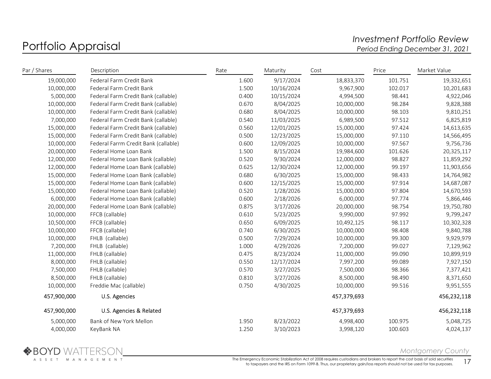## Portfolio Appraisal and the controller of the controller term investment Portfolio Review<br>Period Ending December 31, 2021 Period Ending December 31, 2021

| Par / Shares | Description                          | Rate  | Maturity   | Cost        | Price   | Market Value |
|--------------|--------------------------------------|-------|------------|-------------|---------|--------------|
| 19,000,000   | Federal Farm Credit Bank             | 1.600 | 9/17/2024  | 18,833,370  | 101.751 | 19,332,651   |
| 10,000,000   | Federal Farm Credit Bank             | 1.500 | 10/16/2024 | 9,967,900   | 102.017 | 10,201,683   |
| 5,000,000    | Federal Farm Credit Bank (callable)  | 0.400 | 10/15/2024 | 4,994,500   | 98.441  | 4,922,046    |
| 10,000,000   | Federal Farm Credit Bank (callable)  | 0.670 | 8/04/2025  | 10,000,000  | 98.284  | 9,828,388    |
| 10,000,000   | Federal Farm Credit Bank (callable)  | 0.680 | 8/04/2025  | 10,000,000  | 98.103  | 9,810,251    |
| 7,000,000    | Federal Farm Credit Bank (callable)  | 0.540 | 11/03/2025 | 6,989,500   | 97.512  | 6,825,819    |
| 15,000,000   | Federal Farm Credit Bank (callable)  | 0.560 | 12/01/2025 | 15,000,000  | 97.424  | 14,613,635   |
| 15,000,000   | Federal Farm Credit Bank (callable)  | 0.500 | 12/23/2025 | 15,000,000  | 97.110  | 14,566,495   |
| 10,000,000   | Federal Farrm Credit Bank (callable) | 0.600 | 12/09/2025 | 10,000,000  | 97.567  | 9,756,736    |
| 20,000,000   | Federal Home Loan Bank               | 1.500 | 8/15/2024  | 19,984,600  | 101.626 | 20,325,117   |
| 12,000,000   | Federal Home Loan Bank (callable)    | 0.520 | 9/30/2024  | 12,000,000  | 98.827  | 11,859,292   |
| 12,000,000   | Federal Home Loan Bank (callable)    | 0.625 | 12/30/2024 | 12,000,000  | 99.197  | 11,903,656   |
| 15,000,000   | Federal Home Loan Bank (callable)    | 0.680 | 6/30/2025  | 15,000,000  | 98.433  | 14,764,982   |
| 15,000,000   | Federal Home Loan Bank (callable)    | 0.600 | 12/15/2025 | 15,000,000  | 97.914  | 14,687,087   |
| 15,000,000   | Federal Home Loan Bank (callable)    | 0.520 | 1/28/2026  | 15,000,000  | 97.804  | 14,670,593   |
| 6,000,000    | Federal Home Loan Bank (callable)    | 0.600 | 2/18/2026  | 6,000,000   | 97.774  | 5,866,446    |
| 20,000,000   | Federal Home Loan Bank (callable)    | 0.875 | 3/17/2026  | 20,000,000  | 98.754  | 19,750,780   |
| 10,000,000   | FFCB (callable)                      | 0.610 | 5/23/2025  | 9,990,000   | 97.992  | 9,799,247    |
| 10,500,000   | FFCB (callable)                      | 0.650 | 6/09/2025  | 10,492,125  | 98.117  | 10,302,328   |
| 10,000,000   | FFCB (callable)                      | 0.740 | 6/30/2025  | 10,000,000  | 98.408  | 9,840,788    |
| 10,000,000   | FHLB (callable)                      | 0.500 | 7/29/2024  | 10,000,000  | 99.300  | 9,929,979    |
| 7,200,000    | FHLB (callable)                      | 1.000 | 4/29/2026  | 7,200,000   | 99.027  | 7,129,962    |
| 11,000,000   | FHLB (callable)                      | 0.475 | 8/23/2024  | 11,000,000  | 99.090  | 10,899,919   |
| 8,000,000    | FHLB (callable)                      | 0.550 | 12/17/2024 | 7,997,200   | 99.089  | 7,927,150    |
| 7,500,000    | FHLB (callable)                      | 0.570 | 3/27/2025  | 7,500,000   | 98.366  | 7,377,421    |
| 8,500,000    | FHLB (callable)                      | 0.810 | 3/27/2026  | 8,500,000   | 98.490  | 8,371,650    |
| 10,000,000   | Freddie Mac (callable)               | 0.750 | 4/30/2025  | 10,000,000  | 99.516  | 9,951,555    |
| 457,900,000  | U.S. Agencies                        |       |            | 457,379,693 |         | 456,232,118  |
| 457,900,000  | U.S. Agencies & Related              |       |            | 457,379,693 |         | 456,232,118  |
| 5,000,000    | Bank of New York Mellon              | 1.950 | 8/23/2022  | 4,998,400   | 100.975 | 5,048,725    |
| 4,000,000    | KeyBank NA                           | 1.250 | 3/10/2023  | 3,998,120   | 100.603 | 4,024,137    |

Montgomery County

The Emergency Economic Stabilization Act of 2008 requires custodians and brokers to report the cost basis of sold securities to taxpayers and the IRS on Form 1099-B. Thus, our proprietary gain/loss reports should not be used for tax purposes. 17<br>17 to taxpayers and the IRS on Form 1099-B. Thus, our proprietary gain/loss reports should not be us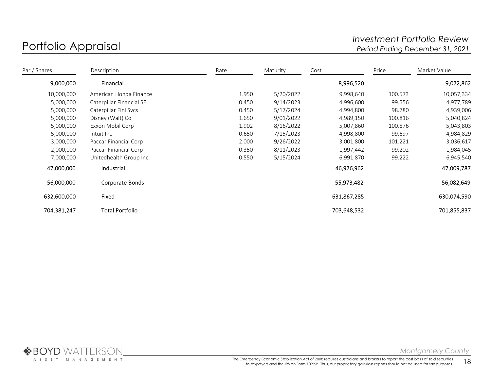# Portfolio Appraisal and the controller of the controller term investment Portfolio Review<br>Period Ending December 31, 2021 Period Ending December 31, 2021

| Par / Shares | Description              | Rate  | Maturity  | Cost        | Price   | Market Value |
|--------------|--------------------------|-------|-----------|-------------|---------|--------------|
| 9,000,000    | Financial                |       |           | 8,996,520   |         | 9,072,862    |
| 10,000,000   | American Honda Finance   | 1.950 | 5/20/2022 | 9,998,640   | 100.573 | 10,057,334   |
| 5,000,000    | Caterpillar Financial SE | 0.450 | 9/14/2023 | 4,996,600   | 99.556  | 4,977,789    |
| 5,000,000    | Caterpillar Finl Svcs    | 0.450 | 5/17/2024 | 4,994,800   | 98.780  | 4,939,006    |
| 5,000,000    | Disney (Walt) Co         | 1.650 | 9/01/2022 | 4,989,150   | 100.816 | 5,040,824    |
| 5,000,000    | Exxon Mobil Corp         | 1.902 | 8/16/2022 | 5,007,860   | 100.876 | 5,043,803    |
| 5,000,000    | Intuit Inc               | 0.650 | 7/15/2023 | 4,998,800   | 99.697  | 4,984,829    |
| 3,000,000    | Paccar Financial Corp    | 2.000 | 9/26/2022 | 3,001,800   | 101.221 | 3,036,617    |
| 2,000,000    | Paccar Financial Corp    | 0.350 | 8/11/2023 | 1,997,442   | 99.202  | 1,984,045    |
| 7,000,000    | Unitedhealth Group Inc.  | 0.550 | 5/15/2024 | 6,991,870   | 99.222  | 6,945,540    |
| 47,000,000   | Industrial               |       |           | 46,976,962  |         | 47,009,787   |
| 56,000,000   | Corporate Bonds          |       |           | 55,973,482  |         | 56,082,649   |
| 632,600,000  | Fixed                    |       |           | 631,867,285 |         | 630,074,590  |
| 704,381,247  | <b>Total Portfolio</b>   |       |           | 703,648,532 |         | 701,855,837  |